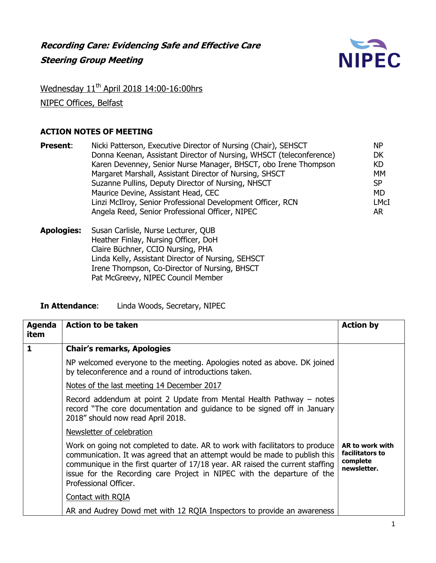

## Wednesday 11<sup>th</sup> April 2018 14:00-16:00hrs

NIPEC Offices, Belfast

## **ACTION NOTES OF MEETING**

| <b>Present:</b> | Nicki Patterson, Executive Director of Nursing (Chair), SEHSCT      | <b>NP</b> |
|-----------------|---------------------------------------------------------------------|-----------|
|                 | Donna Keenan, Assistant Director of Nursing, WHSCT (teleconference) | DK        |
|                 | Karen Devenney, Senior Nurse Manager, BHSCT, obo Irene Thompson     | KD        |
|                 | Margaret Marshall, Assistant Director of Nursing, SHSCT             | MM        |
|                 | Suzanne Pullins, Deputy Director of Nursing, NHSCT                  | <b>SP</b> |
|                 | Maurice Devine, Assistant Head, CEC                                 | MD        |
|                 | Linzi McIlroy, Senior Professional Development Officer, RCN         | LMcI      |
|                 | Angela Reed, Senior Professional Officer, NIPEC                     | AR.       |
|                 |                                                                     |           |

**Apologies:** Susan Carlisle, Nurse Lecturer, QUB Heather Finlay, Nursing Officer, DoH Claire Büchner, CCIO Nursing, PHA Linda Kelly, Assistant Director of Nursing, SEHSCT Irene Thompson, Co-Director of Nursing, BHSCT Pat McGreevy, NIPEC Council Member

**In Attendance**: Linda Woods, Secretary, NIPEC

| Agenda<br>item | <b>Action to be taken</b>                                                                                                                                                                                                                                                                                                                       | <b>Action by</b>                                              |
|----------------|-------------------------------------------------------------------------------------------------------------------------------------------------------------------------------------------------------------------------------------------------------------------------------------------------------------------------------------------------|---------------------------------------------------------------|
| 1              | <b>Chair's remarks, Apologies</b>                                                                                                                                                                                                                                                                                                               |                                                               |
|                | NP welcomed everyone to the meeting. Apologies noted as above. DK joined<br>by teleconference and a round of introductions taken.                                                                                                                                                                                                               |                                                               |
|                | Notes of the last meeting 14 December 2017                                                                                                                                                                                                                                                                                                      |                                                               |
|                | Record addendum at point 2 Update from Mental Health Pathway – notes<br>record "The core documentation and guidance to be signed off in January<br>2018" should now read April 2018.                                                                                                                                                            |                                                               |
|                | Newsletter of celebration                                                                                                                                                                                                                                                                                                                       |                                                               |
|                | Work on going not completed to date. AR to work with facilitators to produce<br>communication. It was agreed that an attempt would be made to publish this<br>communique in the first quarter of 17/18 year. AR raised the current staffing<br>issue for the Recording care Project in NIPEC with the departure of the<br>Professional Officer. | AR to work with<br>facilitators to<br>complete<br>newsletter. |
|                | Contact with RQIA                                                                                                                                                                                                                                                                                                                               |                                                               |
|                | AR and Audrey Dowd met with 12 RQIA Inspectors to provide an awareness                                                                                                                                                                                                                                                                          |                                                               |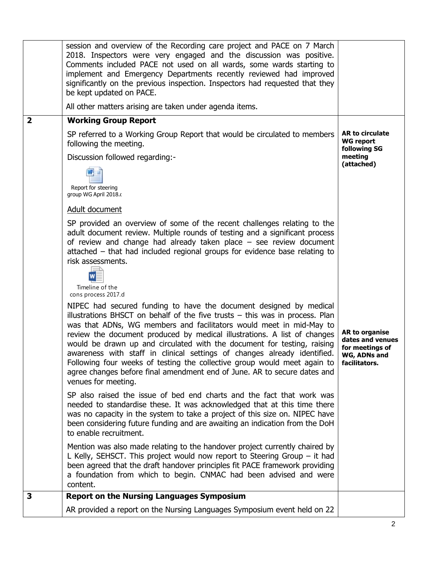|                         | session and overview of the Recording care project and PACE on 7 March<br>2018. Inspectors were very engaged and the discussion was positive.<br>Comments included PACE not used on all wards, some wards starting to<br>implement and Emergency Departments recently reviewed had improved<br>significantly on the previous inspection. Inspectors had requested that they<br>be kept updated on PACE.<br>All other matters arising are taken under agenda items.                                                                                                                                                                                                                                                                                                                                                                                                                                                                                                                                                              |                                                                                        |
|-------------------------|---------------------------------------------------------------------------------------------------------------------------------------------------------------------------------------------------------------------------------------------------------------------------------------------------------------------------------------------------------------------------------------------------------------------------------------------------------------------------------------------------------------------------------------------------------------------------------------------------------------------------------------------------------------------------------------------------------------------------------------------------------------------------------------------------------------------------------------------------------------------------------------------------------------------------------------------------------------------------------------------------------------------------------|----------------------------------------------------------------------------------------|
| $\overline{\mathbf{2}}$ | <b>Working Group Report</b>                                                                                                                                                                                                                                                                                                                                                                                                                                                                                                                                                                                                                                                                                                                                                                                                                                                                                                                                                                                                     |                                                                                        |
|                         | SP referred to a Working Group Report that would be circulated to members<br>following the meeting.<br>Discussion followed regarding:-<br>Report for steering<br>group WG April 2018.                                                                                                                                                                                                                                                                                                                                                                                                                                                                                                                                                                                                                                                                                                                                                                                                                                           | <b>AR to circulate</b><br><b>WG report</b><br>following SG<br>meeting<br>(attached)    |
|                         | Adult document                                                                                                                                                                                                                                                                                                                                                                                                                                                                                                                                                                                                                                                                                                                                                                                                                                                                                                                                                                                                                  |                                                                                        |
|                         | SP provided an overview of some of the recent challenges relating to the<br>adult document review. Multiple rounds of testing and a significant process<br>of review and change had already taken place $-$ see review document<br>$attached - that had included regional groups for evidence base relating to$<br>risk assessments.<br>Timeline of the<br>cons process 2017.d<br>NIPEC had secured funding to have the document designed by medical<br>illustrations BHSCT on behalf of the five trusts $-$ this was in process. Plan<br>was that ADNs, WG members and facilitators would meet in mid-May to<br>review the document produced by medical illustrations. A list of changes<br>would be drawn up and circulated with the document for testing, raising<br>awareness with staff in clinical settings of changes already identified.<br>Following four weeks of testing the collective group would meet again to<br>agree changes before final amendment end of June. AR to secure dates and<br>venues for meeting. | AR to organise<br>dates and venues<br>for meetings of<br>WG, ADNs and<br>facilitators. |
|                         | SP also raised the issue of bed end charts and the fact that work was<br>needed to standardise these. It was acknowledged that at this time there<br>was no capacity in the system to take a project of this size on. NIPEC have<br>been considering future funding and are awaiting an indication from the DoH<br>to enable recruitment.<br>Mention was also made relating to the handover project currently chaired by<br>L Kelly, SEHSCT. This project would now report to Steering Group $-$ it had                                                                                                                                                                                                                                                                                                                                                                                                                                                                                                                         |                                                                                        |
|                         | been agreed that the draft handover principles fit PACE framework providing<br>a foundation from which to begin. CNMAC had been advised and were<br>content.                                                                                                                                                                                                                                                                                                                                                                                                                                                                                                                                                                                                                                                                                                                                                                                                                                                                    |                                                                                        |
| 3                       | <b>Report on the Nursing Languages Symposium</b>                                                                                                                                                                                                                                                                                                                                                                                                                                                                                                                                                                                                                                                                                                                                                                                                                                                                                                                                                                                |                                                                                        |
|                         | AR provided a report on the Nursing Languages Symposium event held on 22                                                                                                                                                                                                                                                                                                                                                                                                                                                                                                                                                                                                                                                                                                                                                                                                                                                                                                                                                        |                                                                                        |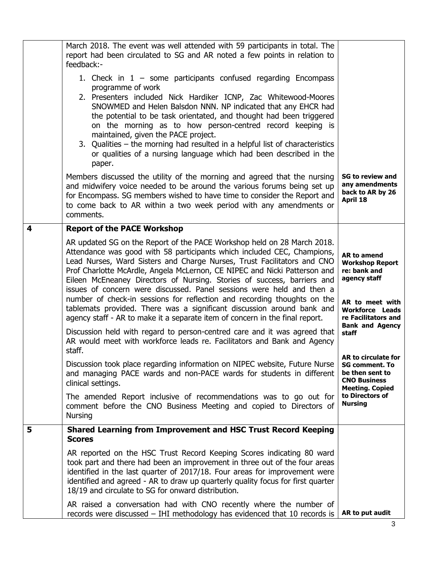|                         | March 2018. The event was well attended with 59 participants in total. The<br>report had been circulated to SG and AR noted a few points in relation to<br>feedback:-                                                                                                                                                                                                                                                                                                                                                                                                                                                |                                                                                                                  |
|-------------------------|----------------------------------------------------------------------------------------------------------------------------------------------------------------------------------------------------------------------------------------------------------------------------------------------------------------------------------------------------------------------------------------------------------------------------------------------------------------------------------------------------------------------------------------------------------------------------------------------------------------------|------------------------------------------------------------------------------------------------------------------|
|                         | 1. Check in $1 -$ some participants confused regarding Encompass<br>programme of work<br>2. Presenters included Nick Hardiker ICNP, Zac Whitewood-Moores<br>SNOWMED and Helen Balsdon NNN. NP indicated that any EHCR had<br>the potential to be task orientated, and thought had been triggered<br>on the morning as to how person-centred record keeping is<br>maintained, given the PACE project.<br>3. Qualities – the morning had resulted in a helpful list of characteristics<br>or qualities of a nursing language which had been described in the<br>paper.                                                 |                                                                                                                  |
|                         | Members discussed the utility of the morning and agreed that the nursing<br>and midwifery voice needed to be around the various forums being set up<br>for Encompass. SG members wished to have time to consider the Report and<br>to come back to AR within a two week period with any amendments or<br>comments.                                                                                                                                                                                                                                                                                                   | <b>SG to review and</b><br>any amendments<br>back to AR by 26<br>April 18                                        |
| $\overline{\mathbf{4}}$ | <b>Report of the PACE Workshop</b>                                                                                                                                                                                                                                                                                                                                                                                                                                                                                                                                                                                   |                                                                                                                  |
|                         | AR updated SG on the Report of the PACE Workshop held on 28 March 2018.<br>Attendance was good with 58 participants which included CEC, Champions,<br>Lead Nurses, Ward Sisters and Charge Nurses, Trust Facilitators and CNO<br>Prof Charlotte McArdle, Angela McLernon, CE NIPEC and Nicki Patterson and<br>Eileen McEneaney Directors of Nursing. Stories of success, barriers and<br>issues of concern were discussed. Panel sessions were held and then a<br>number of check-in sessions for reflection and recording thoughts on the<br>tablemats provided. There was a significant discussion around bank and |                                                                                                                  |
|                         | agency staff - AR to make it a separate item of concern in the final report.<br>Discussion held with regard to person-centred care and it was agreed that<br>AR would meet with workforce leads re. Facilitators and Bank and Agency<br>staff.                                                                                                                                                                                                                                                                                                                                                                       | re Facilitators and<br><b>Bank and Agency</b><br>staff                                                           |
|                         | Discussion took place regarding information on NIPEC website, Future Nurse<br>and managing PACE wards and non-PACE wards for students in different<br>clinical settings.                                                                                                                                                                                                                                                                                                                                                                                                                                             | AR to circulate for<br><b>SG comment. To</b><br>be then sent to<br><b>CNO Business</b><br><b>Meeting. Copied</b> |
|                         | The amended Report inclusive of recommendations was to go out for<br>comment before the CNO Business Meeting and copied to Directors of<br><b>Nursing</b>                                                                                                                                                                                                                                                                                                                                                                                                                                                            | to Directors of<br><b>Nursing</b>                                                                                |
| 5                       | <b>Shared Learning from Improvement and HSC Trust Record Keeping</b><br><b>Scores</b>                                                                                                                                                                                                                                                                                                                                                                                                                                                                                                                                |                                                                                                                  |
|                         | AR reported on the HSC Trust Record Keeping Scores indicating 80 ward<br>took part and there had been an improvement in three out of the four areas<br>identified in the last quarter of 2017/18. Four areas for improvement were<br>identified and agreed - AR to draw up quarterly quality focus for first quarter<br>18/19 and circulate to SG for onward distribution.                                                                                                                                                                                                                                           |                                                                                                                  |
|                         | AR raised a conversation had with CNO recently where the number of<br>records were discussed - IHI methodology has evidenced that 10 records is                                                                                                                                                                                                                                                                                                                                                                                                                                                                      | AR to put audit                                                                                                  |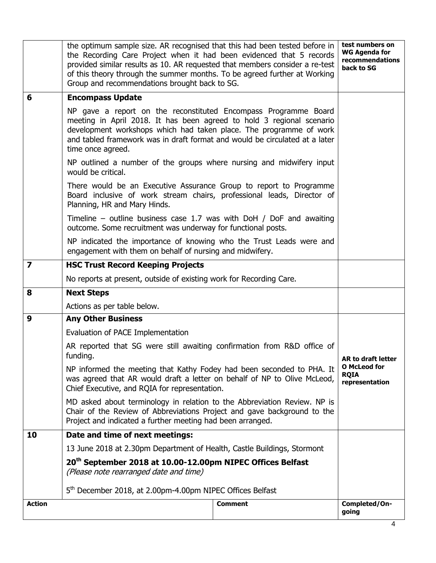|                         | the optimum sample size. AR recognised that this had been tested before in<br>the Recording Care Project when it had been evidenced that 5 records<br>provided similar results as 10. AR requested that members consider a re-test<br>of this theory through the summer months. To be agreed further at Working<br>Group and recommendations brought back to SG. |                | test numbers on<br><b>WG Agenda for</b><br>recommendations<br>back to SG |
|-------------------------|------------------------------------------------------------------------------------------------------------------------------------------------------------------------------------------------------------------------------------------------------------------------------------------------------------------------------------------------------------------|----------------|--------------------------------------------------------------------------|
| 6                       | <b>Encompass Update</b>                                                                                                                                                                                                                                                                                                                                          |                |                                                                          |
|                         | NP gave a report on the reconstituted Encompass Programme Board<br>meeting in April 2018. It has been agreed to hold 3 regional scenario<br>development workshops which had taken place. The programme of work<br>and tabled framework was in draft format and would be circulated at a later<br>time once agreed.                                               |                |                                                                          |
|                         | NP outlined a number of the groups where nursing and midwifery input<br>would be critical.                                                                                                                                                                                                                                                                       |                |                                                                          |
|                         | There would be an Executive Assurance Group to report to Programme<br>Board inclusive of work stream chairs, professional leads, Director of<br>Planning, HR and Mary Hinds.                                                                                                                                                                                     |                |                                                                          |
|                         | Timeline – outline business case 1.7 was with DoH $/$ DoF and awaiting<br>outcome. Some recruitment was underway for functional posts.                                                                                                                                                                                                                           |                |                                                                          |
|                         | NP indicated the importance of knowing who the Trust Leads were and<br>engagement with them on behalf of nursing and midwifery.                                                                                                                                                                                                                                  |                |                                                                          |
| $\overline{\mathbf{z}}$ | <b>HSC Trust Record Keeping Projects</b>                                                                                                                                                                                                                                                                                                                         |                |                                                                          |
|                         | No reports at present, outside of existing work for Recording Care.                                                                                                                                                                                                                                                                                              |                |                                                                          |
| 8                       | <b>Next Steps</b>                                                                                                                                                                                                                                                                                                                                                |                |                                                                          |
|                         | Actions as per table below.                                                                                                                                                                                                                                                                                                                                      |                |                                                                          |
| 9                       | <b>Any Other Business</b>                                                                                                                                                                                                                                                                                                                                        |                |                                                                          |
|                         | Evaluation of PACE Implementation                                                                                                                                                                                                                                                                                                                                |                |                                                                          |
|                         | AR reported that SG were still awaiting confirmation from R&D office of<br>funding.<br>NP informed the meeting that Kathy Fodey had been seconded to PHA. It<br>was agreed that AR would draft a letter on behalf of NP to Olive McLeod,<br>Chief Executive, and RQIA for representation.                                                                        |                | AR to draft letter                                                       |
|                         |                                                                                                                                                                                                                                                                                                                                                                  |                | <b>O</b> McLeod for<br><b>RQIA</b><br>representation                     |
|                         | MD asked about terminology in relation to the Abbreviation Review. NP is<br>Chair of the Review of Abbreviations Project and gave background to the<br>Project and indicated a further meeting had been arranged.                                                                                                                                                |                |                                                                          |
| 10                      | Date and time of next meetings:                                                                                                                                                                                                                                                                                                                                  |                |                                                                          |
|                         | 13 June 2018 at 2.30pm Department of Health, Castle Buildings, Stormont                                                                                                                                                                                                                                                                                          |                |                                                                          |
|                         | 20 <sup>th</sup> September 2018 at 10.00-12.00pm NIPEC Offices Belfast<br>(Please note rearranged date and time)<br>5 <sup>th</sup> December 2018, at 2.00pm-4.00pm NIPEC Offices Belfast                                                                                                                                                                        |                |                                                                          |
|                         |                                                                                                                                                                                                                                                                                                                                                                  |                |                                                                          |
| <b>Action</b>           |                                                                                                                                                                                                                                                                                                                                                                  | <b>Comment</b> | Completed/On-<br>going                                                   |
|                         |                                                                                                                                                                                                                                                                                                                                                                  |                |                                                                          |